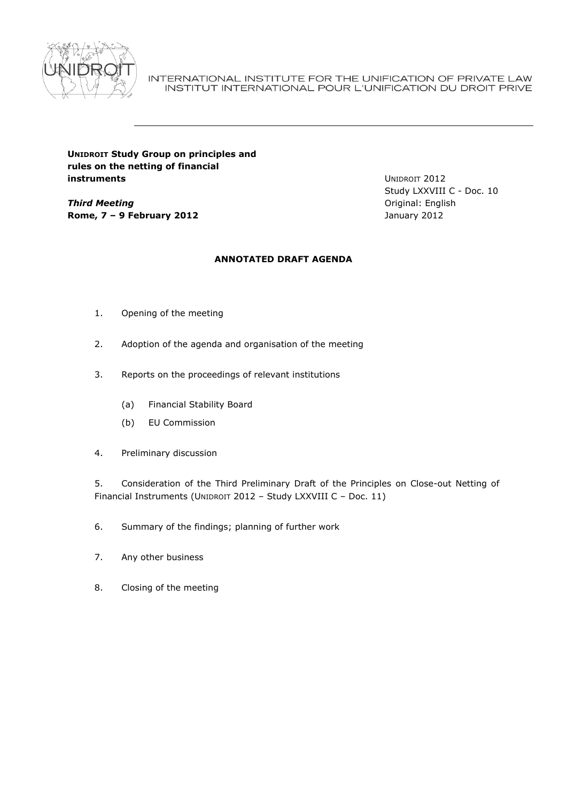

INTERNATIONAL INSTITUTE FOR THE UNIFICATION OF PRIVATE LAW INSTITUT INTERNATIONAL POUR L'UNIFICATION DU DROIT PRIVE

# **UNIDROIT Study Group on principles and rules on the netting of financial instruments**

*Third Meeting* **Rome, 7 – 9 February 2012** UNIDROIT 2012 Study LXXVIII C - Doc. 10 Original: English January 2012

# **ANNOTATED DRAFT AGENDA**

- 1. Opening of the meeting
- 2. Adoption of the agenda and organisation of the meeting
- 3. Reports on the proceedings of relevant institutions
	- (a) Financial Stability Board
	- (b) EU Commission
- 4. Preliminary discussion

5. Consideration of the Third Preliminary Draft of the Principles on Close-out Netting of Financial Instruments (UNIDROIT 2012 – Study LXXVIII C – Doc. 11)

- 6. Summary of the findings; planning of further work
- 7. Any other business
- 8. Closing of the meeting